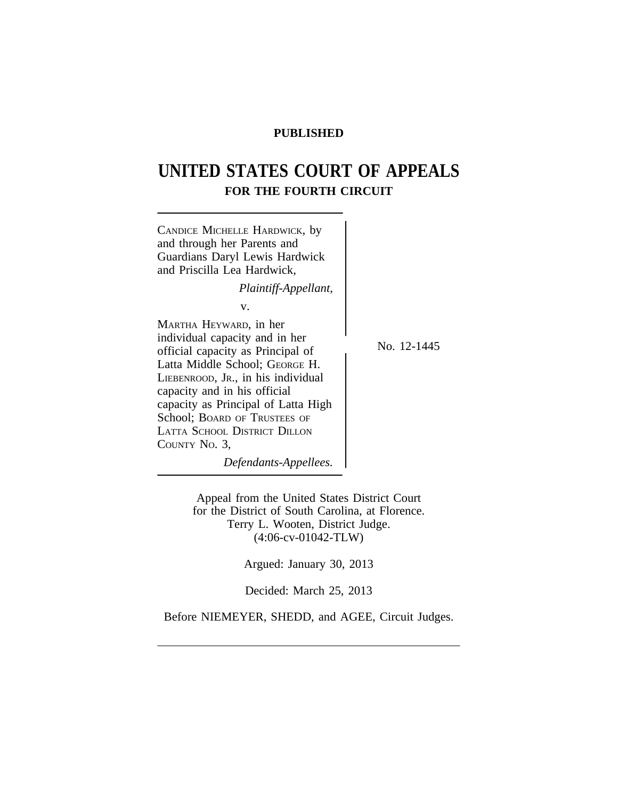## **PUBLISHED**

# **UNITED STATES COURT OF APPEALS FOR THE FOURTH CIRCUIT**



Appeal from the United States District Court for the District of South Carolina, at Florence. Terry L. Wooten, District Judge. (4:06-cv-01042-TLW)

Argued: January 30, 2013

Decided: March 25, 2013

Before NIEMEYER, SHEDD, and AGEE, Circuit Judges.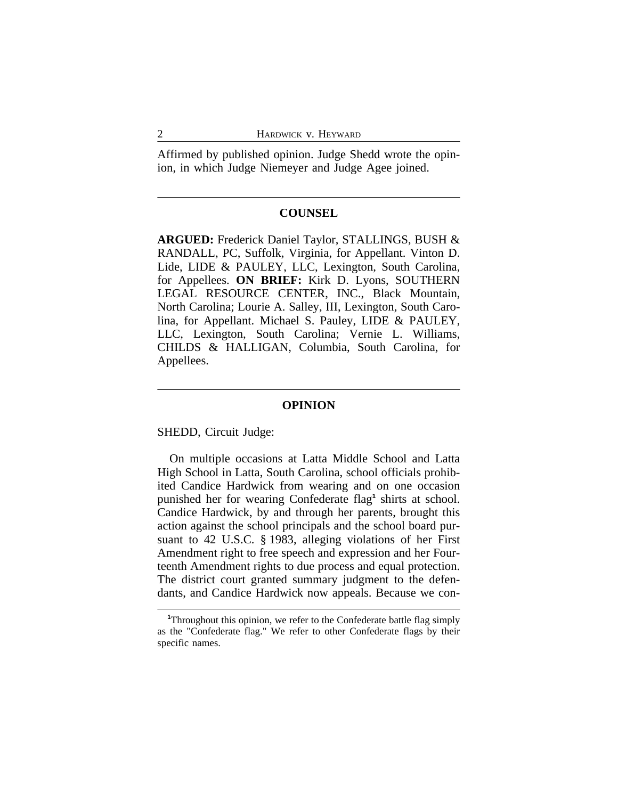Affirmed by published opinion. Judge Shedd wrote the opinion, in which Judge Niemeyer and Judge Agee joined.

#### **COUNSEL**

**ARGUED:** Frederick Daniel Taylor, STALLINGS, BUSH & RANDALL, PC, Suffolk, Virginia, for Appellant. Vinton D. Lide, LIDE & PAULEY, LLC, Lexington, South Carolina, for Appellees. **ON BRIEF:** Kirk D. Lyons, SOUTHERN LEGAL RESOURCE CENTER, INC., Black Mountain, North Carolina; Lourie A. Salley, III, Lexington, South Carolina, for Appellant. Michael S. Pauley, LIDE & PAULEY, LLC, Lexington, South Carolina; Vernie L. Williams, CHILDS & HALLIGAN, Columbia, South Carolina, for Appellees.

#### **OPINION**

SHEDD, Circuit Judge:

On multiple occasions at Latta Middle School and Latta High School in Latta, South Carolina, school officials prohibited Candice Hardwick from wearing and on one occasion punished her for wearing Confederate flag<sup>1</sup> shirts at school. Candice Hardwick, by and through her parents, brought this action against the school principals and the school board pursuant to 42 U.S.C. § 1983, alleging violations of her First Amendment right to free speech and expression and her Fourteenth Amendment rights to due process and equal protection. The district court granted summary judgment to the defendants, and Candice Hardwick now appeals. Because we con-

**<sup>1</sup>**Throughout this opinion, we refer to the Confederate battle flag simply as the "Confederate flag." We refer to other Confederate flags by their specific names.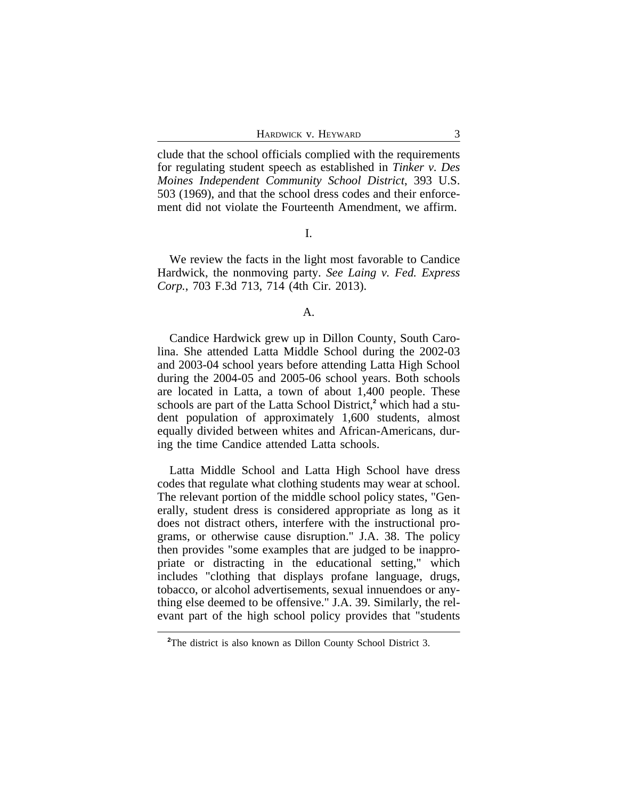clude that the school officials complied with the requirements for regulating student speech as established in *Tinker v. Des Moines Independent Community School District*, 393 U.S. 503 (1969), and that the school dress codes and their enforcement did not violate the Fourteenth Amendment, we affirm.

#### I.

We review the facts in the light most favorable to Candice Hardwick, the nonmoving party. *See Laing v. Fed. Express Corp.*, 703 F.3d 713, 714 (4th Cir. 2013).

#### A.

Candice Hardwick grew up in Dillon County, South Carolina. She attended Latta Middle School during the 2002-03 and 2003-04 school years before attending Latta High School during the 2004-05 and 2005-06 school years. Both schools are located in Latta, a town of about 1,400 people. These schools are part of the Latta School District,<sup>2</sup> which had a student population of approximately 1,600 students, almost equally divided between whites and African-Americans, during the time Candice attended Latta schools.

Latta Middle School and Latta High School have dress codes that regulate what clothing students may wear at school. The relevant portion of the middle school policy states, "Generally, student dress is considered appropriate as long as it does not distract others, interfere with the instructional programs, or otherwise cause disruption." J.A. 38. The policy then provides "some examples that are judged to be inappropriate or distracting in the educational setting," which includes "clothing that displays profane language, drugs, tobacco, or alcohol advertisements, sexual innuendoes or anything else deemed to be offensive." J.A. 39. Similarly, the relevant part of the high school policy provides that "students

**<sup>2</sup>**The district is also known as Dillon County School District 3.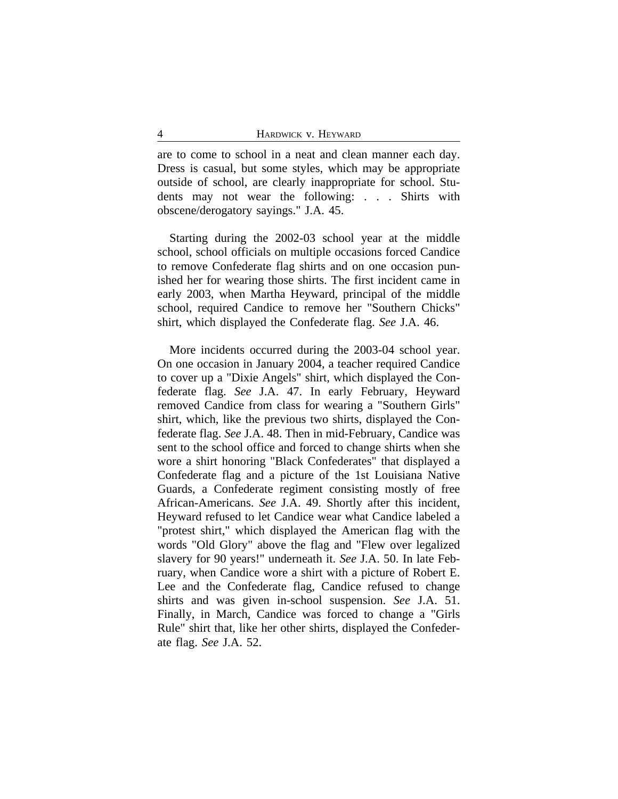are to come to school in a neat and clean manner each day. Dress is casual, but some styles, which may be appropriate outside of school, are clearly inappropriate for school. Students may not wear the following: . . . Shirts with obscene/derogatory sayings." J.A. 45.

Starting during the 2002-03 school year at the middle school, school officials on multiple occasions forced Candice to remove Confederate flag shirts and on one occasion punished her for wearing those shirts. The first incident came in early 2003, when Martha Heyward, principal of the middle school, required Candice to remove her "Southern Chicks" shirt, which displayed the Confederate flag. *See* J.A. 46.

More incidents occurred during the 2003-04 school year. On one occasion in January 2004, a teacher required Candice to cover up a "Dixie Angels" shirt, which displayed the Confederate flag. *See* J.A. 47. In early February, Heyward removed Candice from class for wearing a "Southern Girls" shirt, which, like the previous two shirts, displayed the Confederate flag. *See* J.A. 48. Then in mid-February, Candice was sent to the school office and forced to change shirts when she wore a shirt honoring "Black Confederates" that displayed a Confederate flag and a picture of the 1st Louisiana Native Guards, a Confederate regiment consisting mostly of free African-Americans. *See* J.A. 49. Shortly after this incident, Heyward refused to let Candice wear what Candice labeled a "protest shirt," which displayed the American flag with the words "Old Glory" above the flag and "Flew over legalized slavery for 90 years!" underneath it. *See* J.A. 50. In late February, when Candice wore a shirt with a picture of Robert E. Lee and the Confederate flag, Candice refused to change shirts and was given in-school suspension. *See* J.A. 51. Finally, in March, Candice was forced to change a "Girls Rule" shirt that, like her other shirts, displayed the Confederate flag. *See* J.A. 52.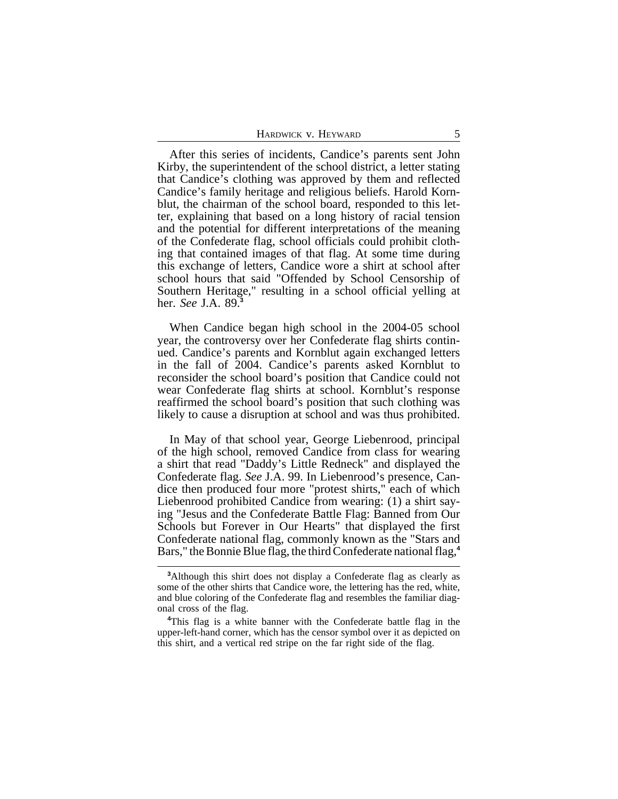| HARDWICK V. HEYWARD |  |
|---------------------|--|
|---------------------|--|

After this series of incidents, Candice's parents sent John Kirby, the superintendent of the school district, a letter stating that Candice's clothing was approved by them and reflected Candice's family heritage and religious beliefs. Harold Kornblut, the chairman of the school board, responded to this letter, explaining that based on a long history of racial tension and the potential for different interpretations of the meaning of the Confederate flag, school officials could prohibit clothing that contained images of that flag. At some time during this exchange of letters, Candice wore a shirt at school after school hours that said "Offended by School Censorship of Southern Heritage," resulting in a school official yelling at her. *See* J.A. 89.**<sup>3</sup>**

When Candice began high school in the 2004-05 school year, the controversy over her Confederate flag shirts continued. Candice's parents and Kornblut again exchanged letters in the fall of 2004. Candice's parents asked Kornblut to reconsider the school board's position that Candice could not wear Confederate flag shirts at school. Kornblut's response reaffirmed the school board's position that such clothing was likely to cause a disruption at school and was thus prohibited.

In May of that school year, George Liebenrood, principal of the high school, removed Candice from class for wearing a shirt that read "Daddy's Little Redneck" and displayed the Confederate flag. *See* J.A. 99. In Liebenrood's presence, Candice then produced four more "protest shirts," each of which Liebenrood prohibited Candice from wearing: (1) a shirt saying "Jesus and the Confederate Battle Flag: Banned from Our Schools but Forever in Our Hearts" that displayed the first Confederate national flag, commonly known as the "Stars and Bars," the Bonnie Blue flag, the third Confederate national flag,**<sup>4</sup>**

**<sup>3</sup>**Although this shirt does not display a Confederate flag as clearly as some of the other shirts that Candice wore, the lettering has the red, white, and blue coloring of the Confederate flag and resembles the familiar diagonal cross of the flag.

**<sup>4</sup>**This flag is a white banner with the Confederate battle flag in the upper-left-hand corner, which has the censor symbol over it as depicted on this shirt, and a vertical red stripe on the far right side of the flag.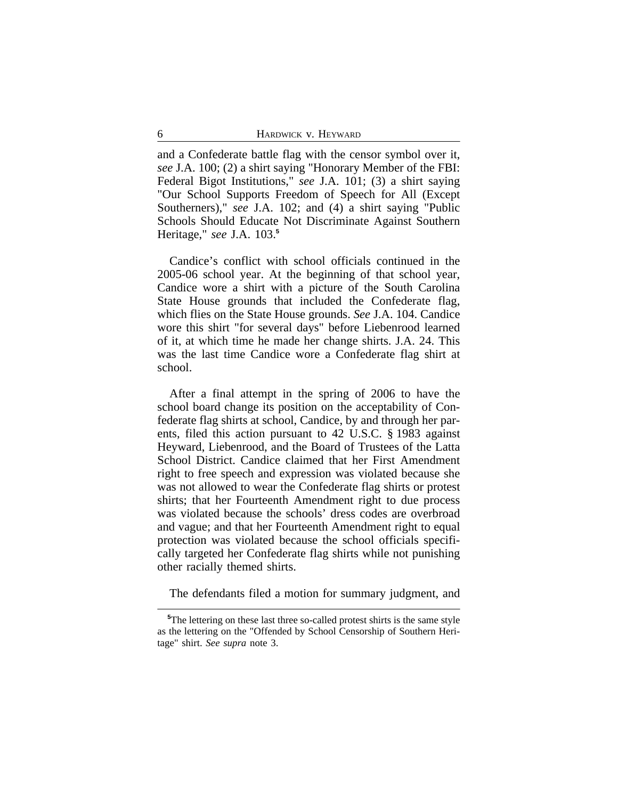and a Confederate battle flag with the censor symbol over it, *see* J.A. 100; (2) a shirt saying "Honorary Member of the FBI: Federal Bigot Institutions," *see* J.A. 101; (3) a shirt saying "Our School Supports Freedom of Speech for All (Except Southerners)," *see* J.A. 102; and (4) a shirt saying "Public Schools Should Educate Not Discriminate Against Southern Heritage," *see* J.A. 103.**<sup>5</sup>**

Candice's conflict with school officials continued in the 2005-06 school year. At the beginning of that school year, Candice wore a shirt with a picture of the South Carolina State House grounds that included the Confederate flag, which flies on the State House grounds. *See* J.A. 104. Candice wore this shirt "for several days" before Liebenrood learned of it, at which time he made her change shirts. J.A. 24. This was the last time Candice wore a Confederate flag shirt at school.

After a final attempt in the spring of 2006 to have the school board change its position on the acceptability of Confederate flag shirts at school, Candice, by and through her parents, filed this action pursuant to 42 U.S.C. § 1983 against Heyward, Liebenrood, and the Board of Trustees of the Latta School District. Candice claimed that her First Amendment right to free speech and expression was violated because she was not allowed to wear the Confederate flag shirts or protest shirts; that her Fourteenth Amendment right to due process was violated because the schools' dress codes are overbroad and vague; and that her Fourteenth Amendment right to equal protection was violated because the school officials specifically targeted her Confederate flag shirts while not punishing other racially themed shirts.

The defendants filed a motion for summary judgment, and

**<sup>5</sup>**The lettering on these last three so-called protest shirts is the same style as the lettering on the "Offended by School Censorship of Southern Heritage" shirt. *See supra* note 3.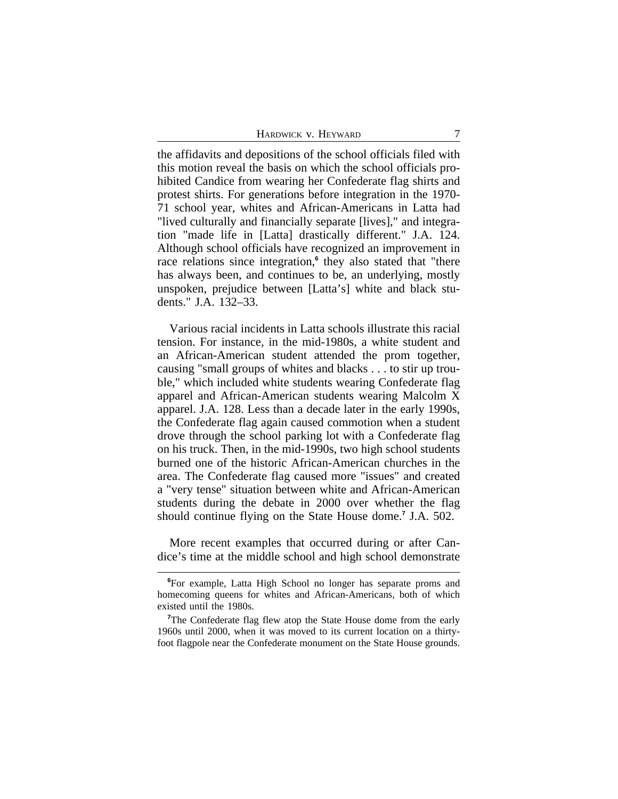HARDWICK V. HEYWARD 7

the affidavits and depositions of the school officials filed with this motion reveal the basis on which the school officials prohibited Candice from wearing her Confederate flag shirts and protest shirts. For generations before integration in the 1970- 71 school year, whites and African-Americans in Latta had "lived culturally and financially separate [lives]," and integration "made life in [Latta] drastically different." J.A. 124. Although school officials have recognized an improvement in race relations since integration,<sup>6</sup> they also stated that "there has always been, and continues to be, an underlying, mostly unspoken, prejudice between [Latta's] white and black students." J.A. 132–33.

Various racial incidents in Latta schools illustrate this racial tension. For instance, in the mid-1980s, a white student and an African-American student attended the prom together, causing "small groups of whites and blacks . . . to stir up trouble," which included white students wearing Confederate flag apparel and African-American students wearing Malcolm X apparel. J.A. 128. Less than a decade later in the early 1990s, the Confederate flag again caused commotion when a student drove through the school parking lot with a Confederate flag on his truck. Then, in the mid-1990s, two high school students burned one of the historic African-American churches in the area. The Confederate flag caused more "issues" and created a "very tense" situation between white and African-American students during the debate in 2000 over whether the flag should continue flying on the State House dome.**<sup>7</sup>** J.A. 502.

More recent examples that occurred during or after Candice's time at the middle school and high school demonstrate

**<sup>6</sup>**For example, Latta High School no longer has separate proms and homecoming queens for whites and African-Americans, both of which existed until the 1980s.

<sup>&</sup>lt;sup>7</sup>The Confederate flag flew atop the State House dome from the early 1960s until 2000, when it was moved to its current location on a thirtyfoot flagpole near the Confederate monument on the State House grounds.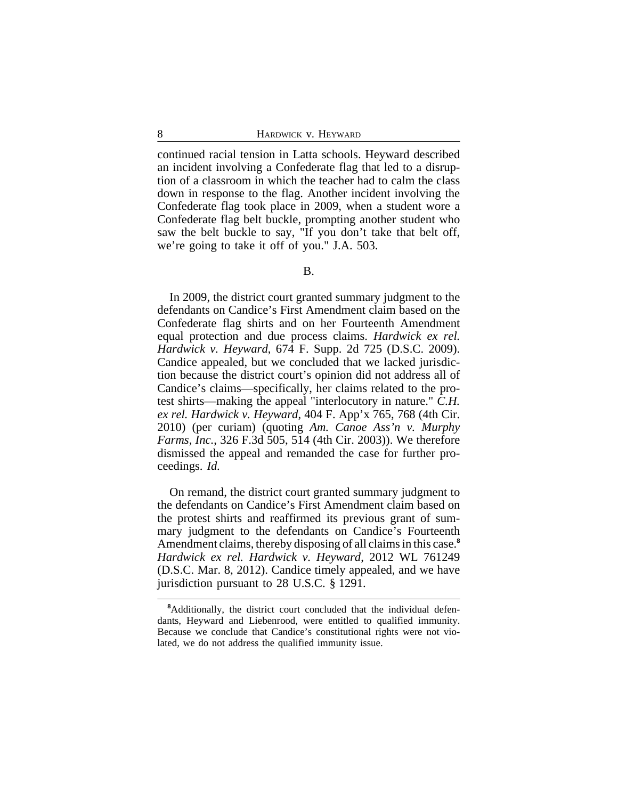continued racial tension in Latta schools. Heyward described an incident involving a Confederate flag that led to a disruption of a classroom in which the teacher had to calm the class down in response to the flag. Another incident involving the Confederate flag took place in 2009, when a student wore a Confederate flag belt buckle, prompting another student who saw the belt buckle to say, "If you don't take that belt off, we're going to take it off of you." J.A. 503.

In 2009, the district court granted summary judgment to the defendants on Candice's First Amendment claim based on the Confederate flag shirts and on her Fourteenth Amendment equal protection and due process claims. *Hardwick ex rel. Hardwick v. Heyward*, 674 F. Supp. 2d 725 (D.S.C. 2009). Candice appealed, but we concluded that we lacked jurisdiction because the district court's opinion did not address all of Candice's claims—specifically, her claims related to the protest shirts—making the appeal "interlocutory in nature." *C.H. ex rel. Hardwick v. Heyward*, 404 F. App'x 765, 768 (4th Cir. 2010) (per curiam) (quoting *Am. Canoe Ass'n v. Murphy Farms, Inc.*, 326 F.3d 505, 514 (4th Cir. 2003)). We therefore dismissed the appeal and remanded the case for further proceedings. *Id.*

On remand, the district court granted summary judgment to the defendants on Candice's First Amendment claim based on the protest shirts and reaffirmed its previous grant of summary judgment to the defendants on Candice's Fourteenth Amendment claims, thereby disposing of all claims in this case.**<sup>8</sup>** *Hardwick ex rel. Hardwick v. Heyward*, 2012 WL 761249 (D.S.C. Mar. 8, 2012). Candice timely appealed, and we have jurisdiction pursuant to 28 U.S.C. § 1291.

**<sup>8</sup>**Additionally, the district court concluded that the individual defendants, Heyward and Liebenrood, were entitled to qualified immunity. Because we conclude that Candice's constitutional rights were not violated, we do not address the qualified immunity issue.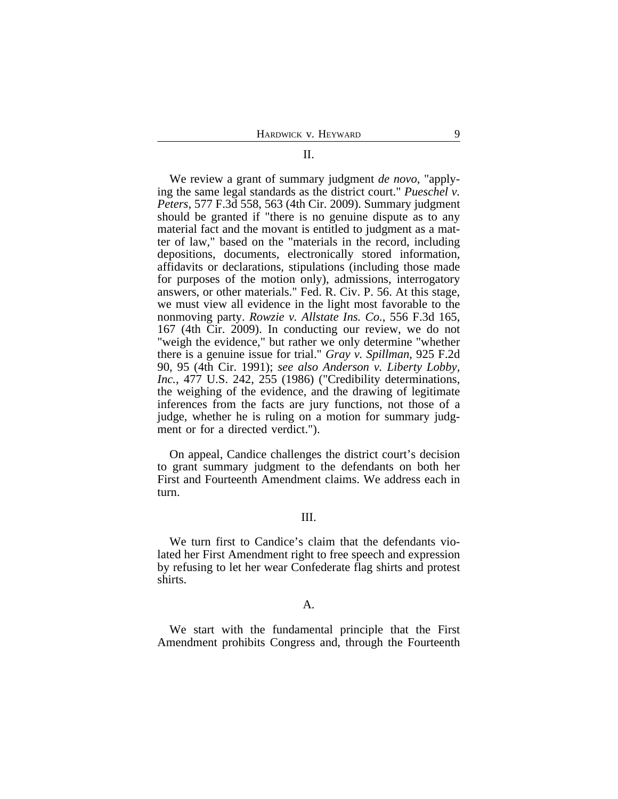## We review a grant of summary judgment *de novo*, "applying the same legal standards as the district court." *Pueschel v. Peters*, 577 F.3d 558, 563 (4th Cir. 2009). Summary judgment should be granted if "there is no genuine dispute as to any material fact and the movant is entitled to judgment as a matter of law," based on the "materials in the record, including depositions, documents, electronically stored information, affidavits or declarations, stipulations (including those made for purposes of the motion only), admissions, interrogatory answers, or other materials." Fed. R. Civ. P. 56. At this stage, we must view all evidence in the light most favorable to the nonmoving party. *Rowzie v. Allstate Ins. Co.*, 556 F.3d 165, 167 (4th Cir. 2009). In conducting our review, we do not "weigh the evidence," but rather we only determine "whether there is a genuine issue for trial." *Gray v. Spillman*, 925 F.2d 90, 95 (4th Cir. 1991); *see also Anderson v. Liberty Lobby, Inc.*, 477 U.S. 242, 255 (1986) ("Credibility determinations, the weighing of the evidence, and the drawing of legitimate inferences from the facts are jury functions, not those of a judge, whether he is ruling on a motion for summary judgment or for a directed verdict.").

On appeal, Candice challenges the district court's decision to grant summary judgment to the defendants on both her First and Fourteenth Amendment claims. We address each in turn.

### III.

We turn first to Candice's claim that the defendants violated her First Amendment right to free speech and expression by refusing to let her wear Confederate flag shirts and protest shirts.

#### A.

We start with the fundamental principle that the First Amendment prohibits Congress and, through the Fourteenth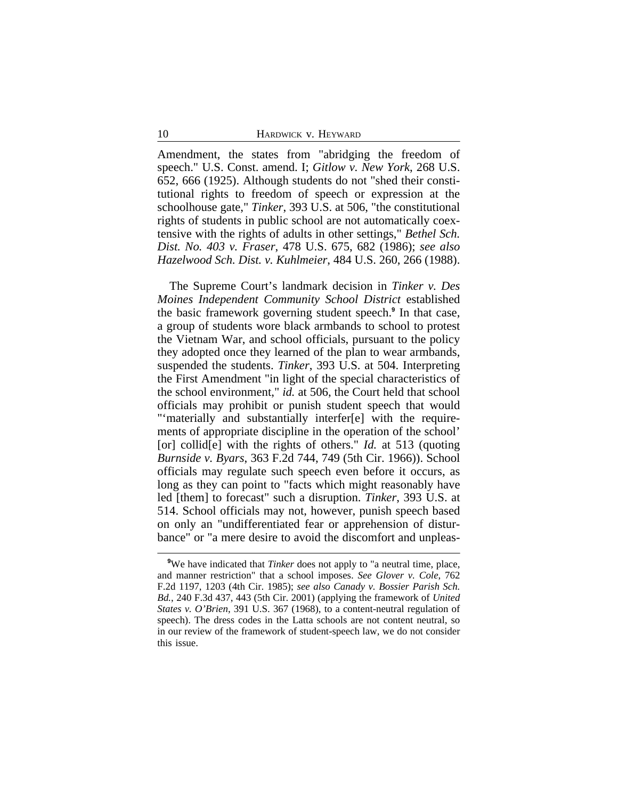Amendment, the states from "abridging the freedom of speech." U.S. Const. amend. I; *Gitlow v. New York*, 268 U.S. 652, 666 (1925). Although students do not "shed their constitutional rights to freedom of speech or expression at the schoolhouse gate," *Tinker*, 393 U.S. at 506, "the constitutional rights of students in public school are not automatically coextensive with the rights of adults in other settings," *Bethel Sch. Dist. No. 403 v. Fraser*, 478 U.S. 675, 682 (1986); *see also Hazelwood Sch. Dist. v. Kuhlmeier*, 484 U.S. 260, 266 (1988).

The Supreme Court's landmark decision in *Tinker v. Des Moines Independent Community School District* established the basic framework governing student speech.**<sup>9</sup>** In that case, a group of students wore black armbands to school to protest the Vietnam War, and school officials, pursuant to the policy they adopted once they learned of the plan to wear armbands, suspended the students. *Tinker*, 393 U.S. at 504. Interpreting the First Amendment "in light of the special characteristics of the school environment," *id.* at 506, the Court held that school officials may prohibit or punish student speech that would "'materially and substantially interfer[e] with the requirements of appropriate discipline in the operation of the school' [or] collid<sup>[e]</sup> with the rights of others." *Id.* at 513 (quoting *Burnside v. Byars*, 363 F.2d 744, 749 (5th Cir. 1966)). School officials may regulate such speech even before it occurs, as long as they can point to "facts which might reasonably have led [them] to forecast" such a disruption. *Tinker*, 393 U.S. at 514. School officials may not, however, punish speech based on only an "undifferentiated fear or apprehension of disturbance" or "a mere desire to avoid the discomfort and unpleas-

**<sup>9</sup>**We have indicated that *Tinker* does not apply to "a neutral time, place, and manner restriction" that a school imposes. *See Glover v. Cole*, 762 F.2d 1197, 1203 (4th Cir. 1985); *see also Canady v. Bossier Parish Sch. Bd.*, 240 F.3d 437, 443 (5th Cir. 2001) (applying the framework of *United States v. O'Brien*, 391 U.S. 367 (1968), to a content-neutral regulation of speech). The dress codes in the Latta schools are not content neutral, so in our review of the framework of student-speech law, we do not consider this issue.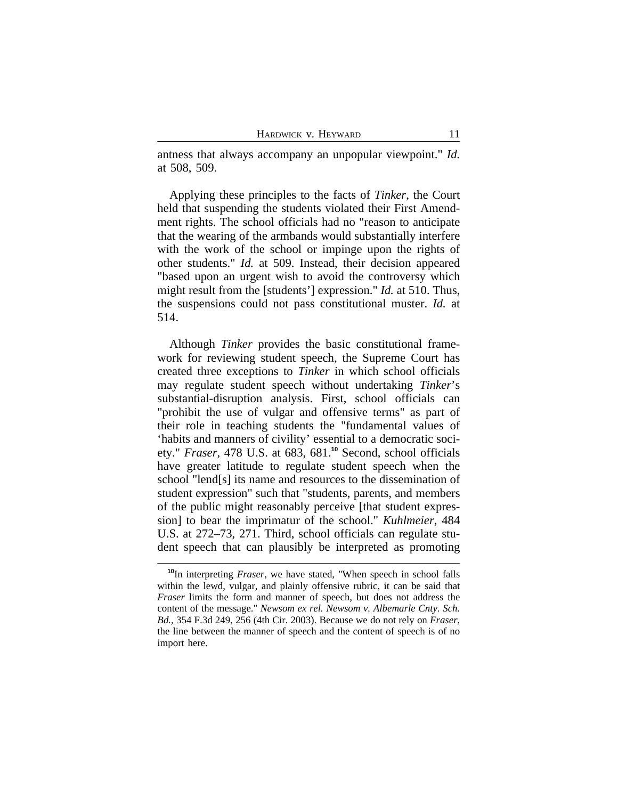antness that always accompany an unpopular viewpoint." *Id.* at 508, 509.

Applying these principles to the facts of *Tinker*, the Court held that suspending the students violated their First Amendment rights. The school officials had no "reason to anticipate that the wearing of the armbands would substantially interfere with the work of the school or impinge upon the rights of other students." *Id.* at 509. Instead, their decision appeared "based upon an urgent wish to avoid the controversy which might result from the [students'] expression." *Id.* at 510. Thus, the suspensions could not pass constitutional muster. *Id.* at 514.

Although *Tinker* provides the basic constitutional framework for reviewing student speech, the Supreme Court has created three exceptions to *Tinker* in which school officials may regulate student speech without undertaking *Tinker*'s substantial-disruption analysis. First, school officials can "prohibit the use of vulgar and offensive terms" as part of their role in teaching students the "fundamental values of 'habits and manners of civility' essential to a democratic society." *Fraser*, 478 U.S. at 683, 681.**<sup>10</sup>** Second, school officials have greater latitude to regulate student speech when the school "lend[s] its name and resources to the dissemination of student expression" such that "students, parents, and members of the public might reasonably perceive [that student expression] to bear the imprimatur of the school." *Kuhlmeier*, 484 U.S. at 272–73, 271. Third, school officials can regulate student speech that can plausibly be interpreted as promoting

**<sup>10</sup>**In interpreting *Fraser*, we have stated, "When speech in school falls within the lewd, vulgar, and plainly offensive rubric, it can be said that *Fraser* limits the form and manner of speech, but does not address the content of the message." *Newsom ex rel. Newsom v. Albemarle Cnty. Sch. Bd.*, 354 F.3d 249, 256 (4th Cir. 2003). Because we do not rely on *Fraser*, the line between the manner of speech and the content of speech is of no import here.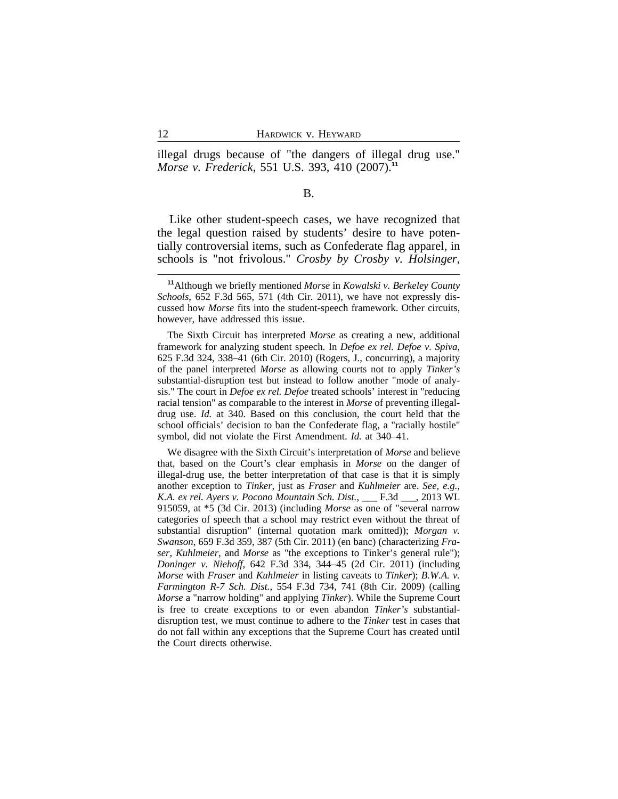illegal drugs because of "the dangers of illegal drug use." *Morse v. Frederick*, 551 U.S. 393, 410 (2007).**<sup>11</sup>**

#### B.

Like other student-speech cases, we have recognized that the legal question raised by students' desire to have potentially controversial items, such as Confederate flag apparel, in schools is "not frivolous." *Crosby by Crosby v. Holsinger*,

**<sup>11</sup>**Although we briefly mentioned *Morse* in *Kowalski v. Berkeley County Schools*, 652 F.3d 565, 571 (4th Cir. 2011), we have not expressly discussed how *Morse* fits into the student-speech framework. Other circuits, however, have addressed this issue.

The Sixth Circuit has interpreted *Morse* as creating a new, additional framework for analyzing student speech. In *Defoe ex rel. Defoe v. Spiva*, 625 F.3d 324, 338–41 (6th Cir. 2010) (Rogers, J., concurring), a majority of the panel interpreted *Morse* as allowing courts not to apply *Tinker's* substantial-disruption test but instead to follow another "mode of analysis." The court in *Defoe ex rel. Defoe* treated schools' interest in "reducing racial tension" as comparable to the interest in *Morse* of preventing illegaldrug use. *Id.* at 340. Based on this conclusion, the court held that the school officials' decision to ban the Confederate flag, a "racially hostile" symbol, did not violate the First Amendment. *Id.* at 340–41.

We disagree with the Sixth Circuit's interpretation of *Morse* and believe that, based on the Court's clear emphasis in *Morse* on the danger of illegal-drug use, the better interpretation of that case is that it is simply another exception to *Tinker*, just as *Fraser* and *Kuhlmeier* are. *See, e.g., K.A. ex rel. Ayers v. Pocono Mountain Sch. Dist.*, \_\_\_ F.3d \_\_\_, 2013 WL 915059, at \*5 (3d Cir. 2013) (including *Morse* as one of "several narrow categories of speech that a school may restrict even without the threat of substantial disruption" (internal quotation mark omitted)); *Morgan v. Swanson*, 659 F.3d 359, 387 (5th Cir. 2011) (en banc) (characterizing *Fraser*, *Kuhlmeier*, and *Morse* as "the exceptions to Tinker's general rule"); *Doninger v. Niehoff*, 642 F.3d 334, 344–45 (2d Cir. 2011) (including *Morse* with *Fraser* and *Kuhlmeier* in listing caveats to *Tinker*); *B.W.A. v. Farmington R-7 Sch. Dist.*, 554 F.3d 734, 741 (8th Cir. 2009) (calling *Morse* a "narrow holding" and applying *Tinker*). While the Supreme Court is free to create exceptions to or even abandon *Tinker's* substantialdisruption test, we must continue to adhere to the *Tinker* test in cases that do not fall within any exceptions that the Supreme Court has created until the Court directs otherwise.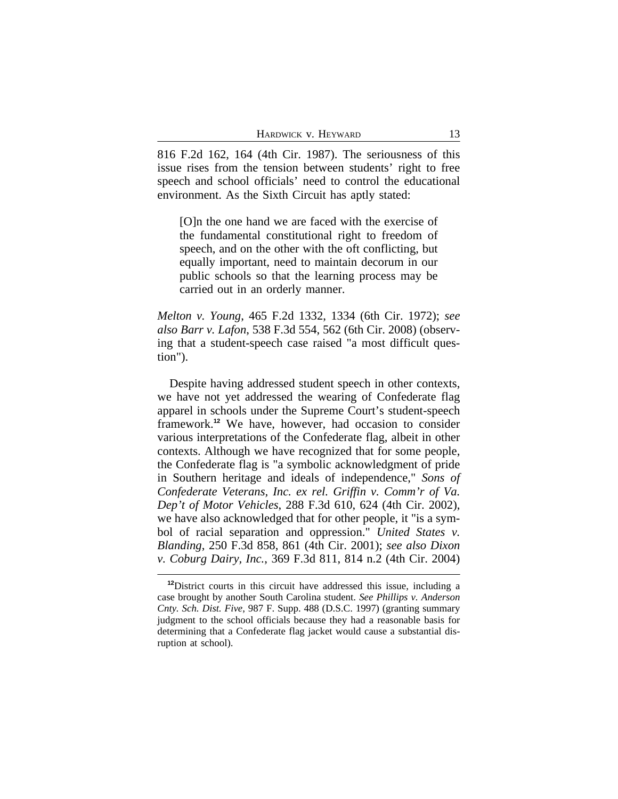816 F.2d 162, 164 (4th Cir. 1987). The seriousness of this issue rises from the tension between students' right to free speech and school officials' need to control the educational environment. As the Sixth Circuit has aptly stated:

[O]n the one hand we are faced with the exercise of the fundamental constitutional right to freedom of speech, and on the other with the oft conflicting, but equally important, need to maintain decorum in our public schools so that the learning process may be carried out in an orderly manner.

*Melton v. Young*, 465 F.2d 1332, 1334 (6th Cir. 1972); *see also Barr v. Lafon*, 538 F.3d 554, 562 (6th Cir. 2008) (observing that a student-speech case raised "a most difficult question").

Despite having addressed student speech in other contexts, we have not yet addressed the wearing of Confederate flag apparel in schools under the Supreme Court's student-speech framework.**<sup>12</sup>** We have, however, had occasion to consider various interpretations of the Confederate flag, albeit in other contexts. Although we have recognized that for some people, the Confederate flag is "a symbolic acknowledgment of pride in Southern heritage and ideals of independence," *Sons of Confederate Veterans, Inc. ex rel. Griffin v. Comm'r of Va. Dep't of Motor Vehicles*, 288 F.3d 610, 624 (4th Cir. 2002), we have also acknowledged that for other people, it "is a symbol of racial separation and oppression." *United States v. Blanding*, 250 F.3d 858, 861 (4th Cir. 2001); *see also Dixon v. Coburg Dairy, Inc.*, 369 F.3d 811, 814 n.2 (4th Cir. 2004)

**<sup>12</sup>**District courts in this circuit have addressed this issue, including a case brought by another South Carolina student. *See Phillips v. Anderson Cnty. Sch. Dist. Five*, 987 F. Supp. 488 (D.S.C. 1997) (granting summary judgment to the school officials because they had a reasonable basis for determining that a Confederate flag jacket would cause a substantial disruption at school).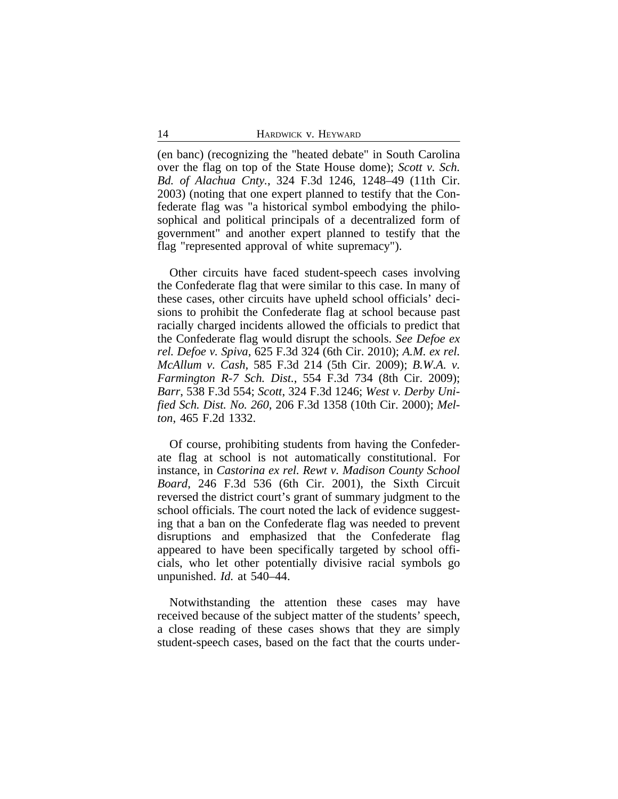(en banc) (recognizing the "heated debate" in South Carolina over the flag on top of the State House dome); *Scott v. Sch. Bd. of Alachua Cnty.*, 324 F.3d 1246, 1248–49 (11th Cir. 2003) (noting that one expert planned to testify that the Confederate flag was "a historical symbol embodying the philosophical and political principals of a decentralized form of government" and another expert planned to testify that the flag "represented approval of white supremacy").

Other circuits have faced student-speech cases involving the Confederate flag that were similar to this case. In many of these cases, other circuits have upheld school officials' decisions to prohibit the Confederate flag at school because past racially charged incidents allowed the officials to predict that the Confederate flag would disrupt the schools. *See Defoe ex rel. Defoe v. Spiva*, 625 F.3d 324 (6th Cir. 2010); *A.M. ex rel. McAllum v. Cash*, 585 F.3d 214 (5th Cir. 2009); *B.W.A. v. Farmington R-7 Sch. Dist.*, 554 F.3d 734 (8th Cir. 2009); *Barr*, 538 F.3d 554; *Scott*, 324 F.3d 1246; *West v. Derby Unified Sch. Dist. No. 260*, 206 F.3d 1358 (10th Cir. 2000); *Melton*, 465 F.2d 1332.

Of course, prohibiting students from having the Confederate flag at school is not automatically constitutional. For instance, in *Castorina ex rel. Rewt v. Madison County School Board*, 246 F.3d 536 (6th Cir. 2001), the Sixth Circuit reversed the district court's grant of summary judgment to the school officials. The court noted the lack of evidence suggesting that a ban on the Confederate flag was needed to prevent disruptions and emphasized that the Confederate flag appeared to have been specifically targeted by school officials, who let other potentially divisive racial symbols go unpunished. *Id.* at 540–44.

Notwithstanding the attention these cases may have received because of the subject matter of the students' speech, a close reading of these cases shows that they are simply student-speech cases, based on the fact that the courts under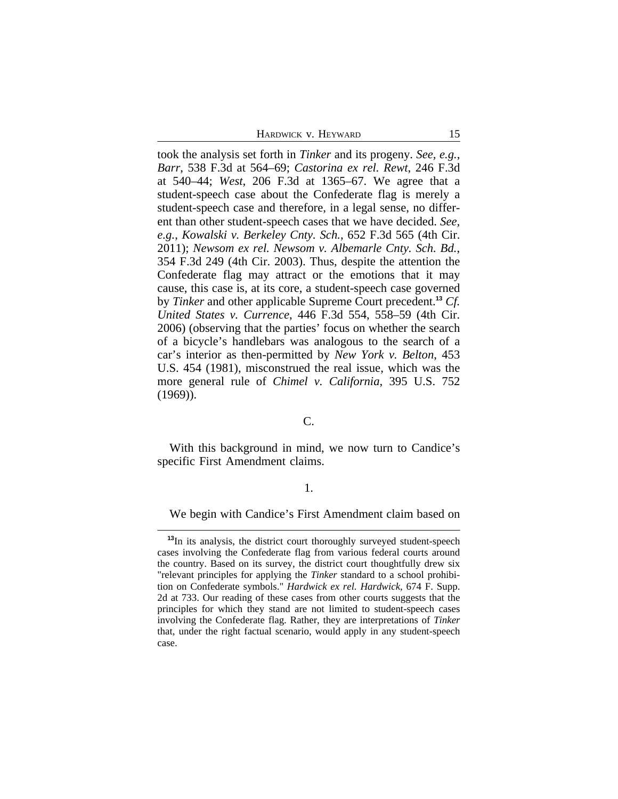HARDWICK V. HEYWARD 15

took the analysis set forth in *Tinker* and its progeny. *See, e.g.*, *Barr*, 538 F.3d at 564–69; *Castorina ex rel. Rewt*, 246 F.3d at 540–44; *West*, 206 F.3d at 1365–67. We agree that a student-speech case about the Confederate flag is merely a student-speech case and therefore, in a legal sense, no different than other student-speech cases that we have decided. *See, e.g.*, *Kowalski v. Berkeley Cnty. Sch.*, 652 F.3d 565 (4th Cir. 2011); *Newsom ex rel. Newsom v. Albemarle Cnty. Sch. Bd.*, 354 F.3d 249 (4th Cir. 2003). Thus, despite the attention the Confederate flag may attract or the emotions that it may cause, this case is, at its core, a student-speech case governed by *Tinker* and other applicable Supreme Court precedent.**<sup>13</sup>** *Cf. United States v. Currence*, 446 F.3d 554, 558–59 (4th Cir. 2006) (observing that the parties' focus on whether the search of a bicycle's handlebars was analogous to the search of a car's interior as then-permitted by *New York v. Belton*, 453 U.S. 454 (1981), misconstrued the real issue, which was the more general rule of *Chimel v. California*, 395 U.S. 752 (1969)).

#### C.

With this background in mind, we now turn to Candice's specific First Amendment claims.

## 1.

We begin with Candice's First Amendment claim based on

**<sup>13</sup>**In its analysis, the district court thoroughly surveyed student-speech cases involving the Confederate flag from various federal courts around the country. Based on its survey, the district court thoughtfully drew six "relevant principles for applying the *Tinker* standard to a school prohibition on Confederate symbols." *Hardwick ex rel. Hardwick*, 674 F. Supp. 2d at 733. Our reading of these cases from other courts suggests that the principles for which they stand are not limited to student-speech cases involving the Confederate flag. Rather, they are interpretations of *Tinker* that, under the right factual scenario, would apply in any student-speech case.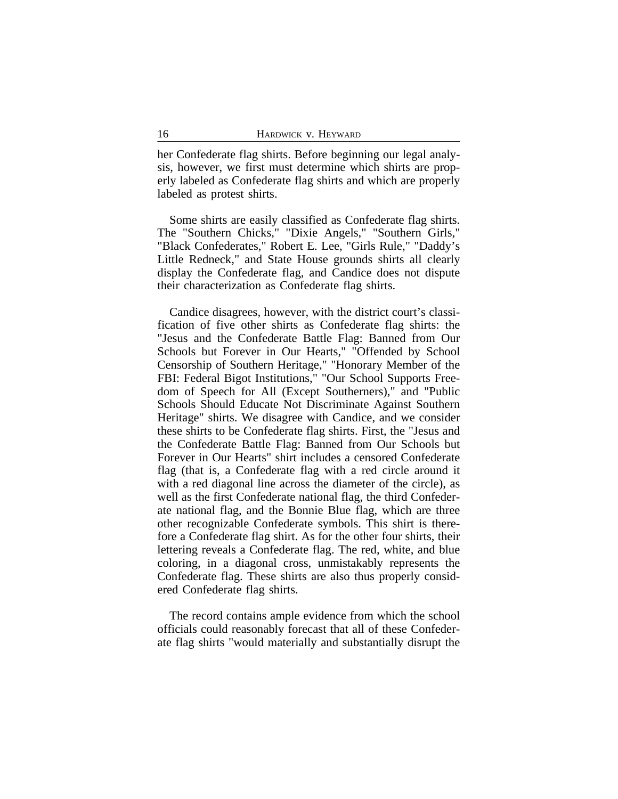her Confederate flag shirts. Before beginning our legal analysis, however, we first must determine which shirts are properly labeled as Confederate flag shirts and which are properly labeled as protest shirts.

Some shirts are easily classified as Confederate flag shirts. The "Southern Chicks," "Dixie Angels," "Southern Girls," "Black Confederates," Robert E. Lee, "Girls Rule," "Daddy's Little Redneck," and State House grounds shirts all clearly display the Confederate flag, and Candice does not dispute their characterization as Confederate flag shirts.

Candice disagrees, however, with the district court's classification of five other shirts as Confederate flag shirts: the "Jesus and the Confederate Battle Flag: Banned from Our Schools but Forever in Our Hearts," "Offended by School Censorship of Southern Heritage," "Honorary Member of the FBI: Federal Bigot Institutions," "Our School Supports Freedom of Speech for All (Except Southerners)," and "Public Schools Should Educate Not Discriminate Against Southern Heritage" shirts. We disagree with Candice, and we consider these shirts to be Confederate flag shirts. First, the "Jesus and the Confederate Battle Flag: Banned from Our Schools but Forever in Our Hearts" shirt includes a censored Confederate flag (that is, a Confederate flag with a red circle around it with a red diagonal line across the diameter of the circle), as well as the first Confederate national flag, the third Confederate national flag, and the Bonnie Blue flag, which are three other recognizable Confederate symbols. This shirt is therefore a Confederate flag shirt. As for the other four shirts, their lettering reveals a Confederate flag. The red, white, and blue coloring, in a diagonal cross, unmistakably represents the Confederate flag. These shirts are also thus properly considered Confederate flag shirts.

The record contains ample evidence from which the school officials could reasonably forecast that all of these Confederate flag shirts "would materially and substantially disrupt the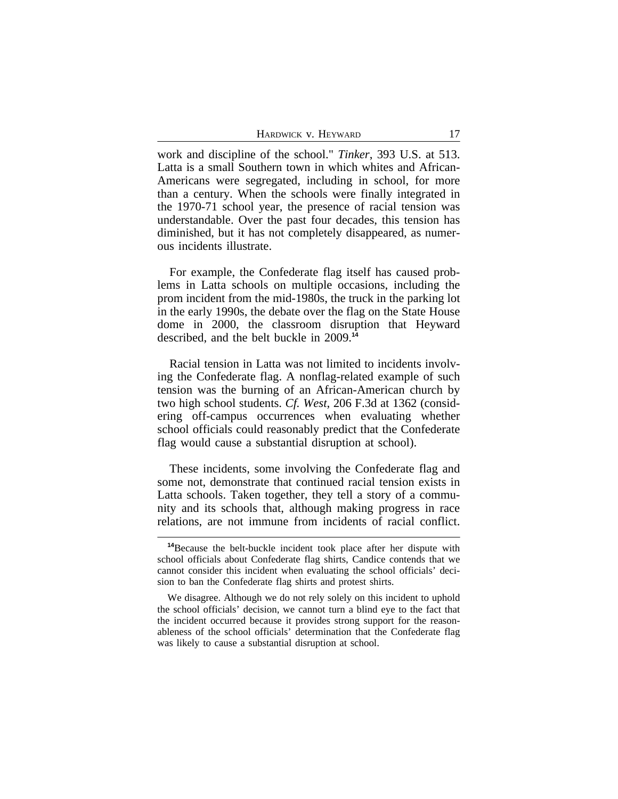HARDWICK V. HEYWARD 17

work and discipline of the school." *Tinker*, 393 U.S. at 513. Latta is a small Southern town in which whites and African-Americans were segregated, including in school, for more than a century. When the schools were finally integrated in the 1970-71 school year, the presence of racial tension was understandable. Over the past four decades, this tension has diminished, but it has not completely disappeared, as numerous incidents illustrate.

For example, the Confederate flag itself has caused problems in Latta schools on multiple occasions, including the prom incident from the mid-1980s, the truck in the parking lot in the early 1990s, the debate over the flag on the State House dome in 2000, the classroom disruption that Heyward described, and the belt buckle in 2009.**<sup>14</sup>**

Racial tension in Latta was not limited to incidents involving the Confederate flag. A nonflag-related example of such tension was the burning of an African-American church by two high school students. *Cf. West*, 206 F.3d at 1362 (considering off-campus occurrences when evaluating whether school officials could reasonably predict that the Confederate flag would cause a substantial disruption at school).

These incidents, some involving the Confederate flag and some not, demonstrate that continued racial tension exists in Latta schools. Taken together, they tell a story of a community and its schools that, although making progress in race relations, are not immune from incidents of racial conflict.

**<sup>14</sup>**Because the belt-buckle incident took place after her dispute with school officials about Confederate flag shirts, Candice contends that we cannot consider this incident when evaluating the school officials' decision to ban the Confederate flag shirts and protest shirts.

We disagree. Although we do not rely solely on this incident to uphold the school officials' decision, we cannot turn a blind eye to the fact that the incident occurred because it provides strong support for the reasonableness of the school officials' determination that the Confederate flag was likely to cause a substantial disruption at school.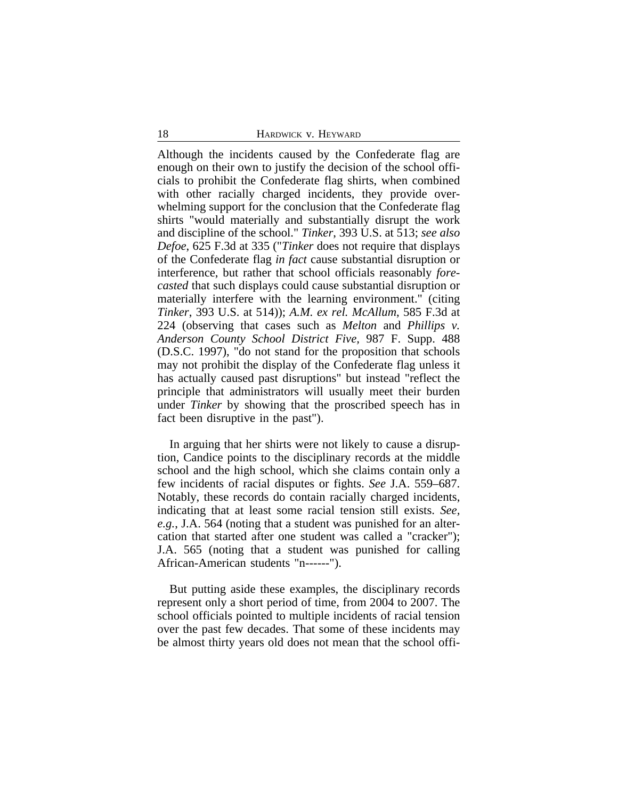Although the incidents caused by the Confederate flag are enough on their own to justify the decision of the school officials to prohibit the Confederate flag shirts, when combined with other racially charged incidents, they provide overwhelming support for the conclusion that the Confederate flag shirts "would materially and substantially disrupt the work and discipline of the school." *Tinker*, 393 U.S. at 513; *see also Defoe*, 625 F.3d at 335 ("*Tinker* does not require that displays of the Confederate flag *in fact* cause substantial disruption or interference, but rather that school officials reasonably *forecasted* that such displays could cause substantial disruption or materially interfere with the learning environment." (citing *Tinker*, 393 U.S. at 514)); *A.M. ex rel. McAllum*, 585 F.3d at 224 (observing that cases such as *Melton* and *Phillips v. Anderson County School District Five,* 987 F. Supp. 488 (D.S.C. 1997), "do not stand for the proposition that schools may not prohibit the display of the Confederate flag unless it has actually caused past disruptions" but instead "reflect the principle that administrators will usually meet their burden under *Tinker* by showing that the proscribed speech has in fact been disruptive in the past").

In arguing that her shirts were not likely to cause a disruption, Candice points to the disciplinary records at the middle school and the high school, which she claims contain only a few incidents of racial disputes or fights. *See* J.A. 559–687. Notably, these records do contain racially charged incidents, indicating that at least some racial tension still exists. *See, e.g.*, J.A. 564 (noting that a student was punished for an altercation that started after one student was called a "cracker"); J.A. 565 (noting that a student was punished for calling African-American students "n------").

But putting aside these examples, the disciplinary records represent only a short period of time, from 2004 to 2007. The school officials pointed to multiple incidents of racial tension over the past few decades. That some of these incidents may be almost thirty years old does not mean that the school offi-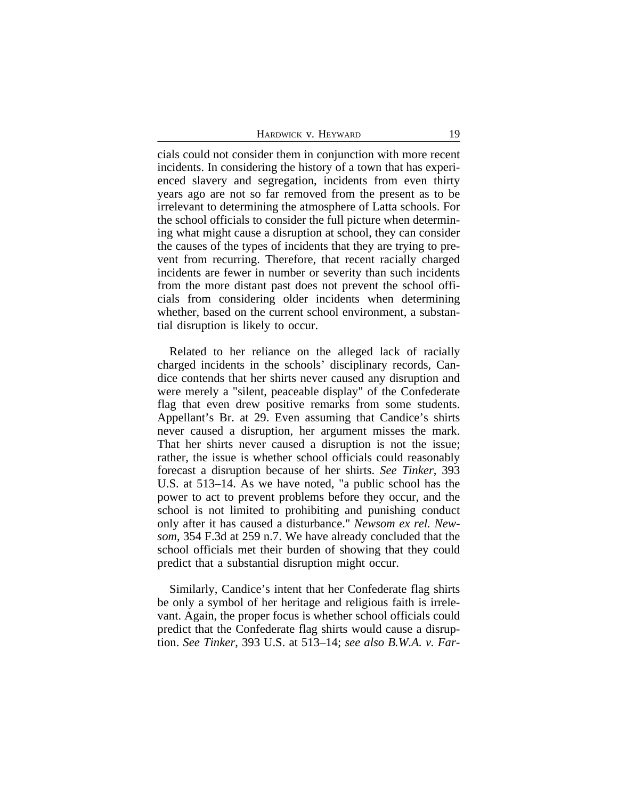| HARDWICK V. HEYWARD |  |  |
|---------------------|--|--|
|---------------------|--|--|

cials could not consider them in conjunction with more recent incidents. In considering the history of a town that has experienced slavery and segregation, incidents from even thirty years ago are not so far removed from the present as to be irrelevant to determining the atmosphere of Latta schools. For the school officials to consider the full picture when determining what might cause a disruption at school, they can consider the causes of the types of incidents that they are trying to prevent from recurring. Therefore, that recent racially charged incidents are fewer in number or severity than such incidents from the more distant past does not prevent the school officials from considering older incidents when determining whether, based on the current school environment, a substantial disruption is likely to occur.

Related to her reliance on the alleged lack of racially charged incidents in the schools' disciplinary records, Candice contends that her shirts never caused any disruption and were merely a "silent, peaceable display" of the Confederate flag that even drew positive remarks from some students. Appellant's Br. at 29. Even assuming that Candice's shirts never caused a disruption, her argument misses the mark. That her shirts never caused a disruption is not the issue; rather, the issue is whether school officials could reasonably forecast a disruption because of her shirts. *See Tinker*, 393 U.S. at 513–14. As we have noted, "a public school has the power to act to prevent problems before they occur, and the school is not limited to prohibiting and punishing conduct only after it has caused a disturbance." *Newsom ex rel. Newsom*, 354 F.3d at 259 n.7. We have already concluded that the school officials met their burden of showing that they could predict that a substantial disruption might occur.

Similarly, Candice's intent that her Confederate flag shirts be only a symbol of her heritage and religious faith is irrelevant. Again, the proper focus is whether school officials could predict that the Confederate flag shirts would cause a disruption. *See Tinker*, 393 U.S. at 513–14; *see also B.W.A. v. Far-*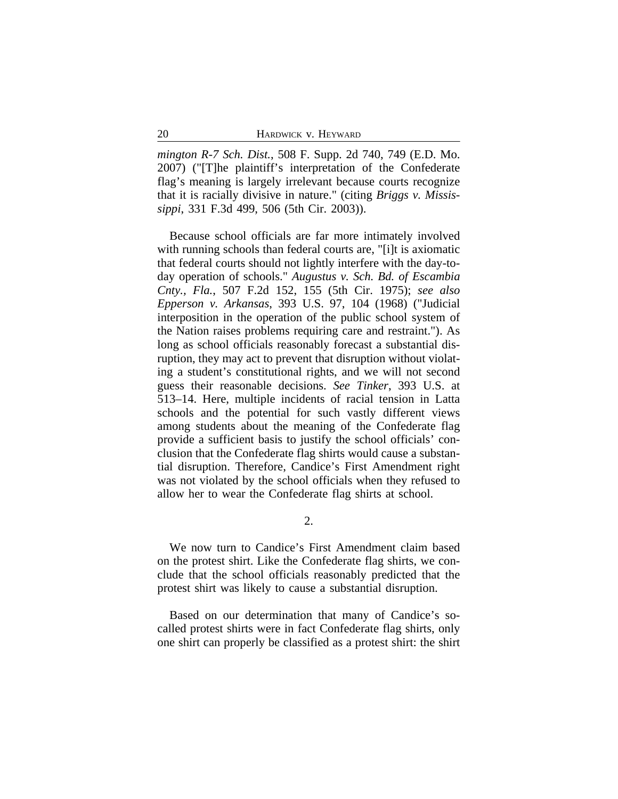*mington R-7 Sch. Dist.*, 508 F. Supp. 2d 740, 749 (E.D. Mo. 2007) ("[T]he plaintiff's interpretation of the Confederate flag's meaning is largely irrelevant because courts recognize that it is racially divisive in nature." (citing *Briggs v. Mississippi*, 331 F.3d 499, 506 (5th Cir. 2003)).

Because school officials are far more intimately involved with running schools than federal courts are, "[i]t is axiomatic that federal courts should not lightly interfere with the day-today operation of schools." *Augustus v. Sch. Bd. of Escambia Cnty., Fla.*, 507 F.2d 152, 155 (5th Cir. 1975); *see also Epperson v. Arkansas*, 393 U.S. 97, 104 (1968) ("Judicial interposition in the operation of the public school system of the Nation raises problems requiring care and restraint."). As long as school officials reasonably forecast a substantial disruption, they may act to prevent that disruption without violating a student's constitutional rights, and we will not second guess their reasonable decisions. *See Tinker*, 393 U.S. at 513–14. Here, multiple incidents of racial tension in Latta schools and the potential for such vastly different views among students about the meaning of the Confederate flag provide a sufficient basis to justify the school officials' conclusion that the Confederate flag shirts would cause a substantial disruption. Therefore, Candice's First Amendment right was not violated by the school officials when they refused to allow her to wear the Confederate flag shirts at school.

2.

We now turn to Candice's First Amendment claim based on the protest shirt. Like the Confederate flag shirts, we conclude that the school officials reasonably predicted that the protest shirt was likely to cause a substantial disruption.

Based on our determination that many of Candice's socalled protest shirts were in fact Confederate flag shirts, only one shirt can properly be classified as a protest shirt: the shirt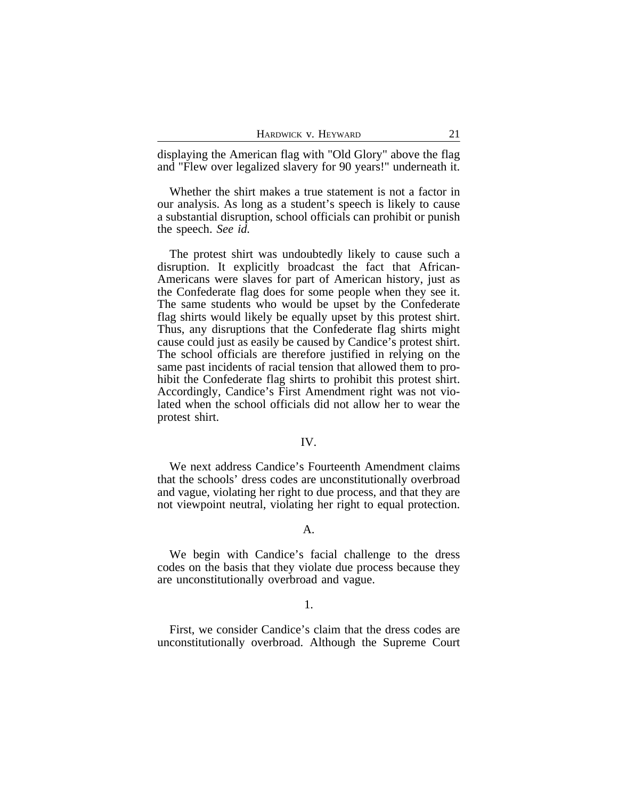| HARDWICK V. HEYWARD |  |  |  |  |
|---------------------|--|--|--|--|
|---------------------|--|--|--|--|

displaying the American flag with "Old Glory" above the flag and "Flew over legalized slavery for 90 years!" underneath it.

Whether the shirt makes a true statement is not a factor in our analysis. As long as a student's speech is likely to cause a substantial disruption, school officials can prohibit or punish the speech. *See id.*

The protest shirt was undoubtedly likely to cause such a disruption. It explicitly broadcast the fact that African-Americans were slaves for part of American history, just as the Confederate flag does for some people when they see it. The same students who would be upset by the Confederate flag shirts would likely be equally upset by this protest shirt. Thus, any disruptions that the Confederate flag shirts might cause could just as easily be caused by Candice's protest shirt. The school officials are therefore justified in relying on the same past incidents of racial tension that allowed them to prohibit the Confederate flag shirts to prohibit this protest shirt. Accordingly, Candice's First Amendment right was not violated when the school officials did not allow her to wear the protest shirt.

#### IV.

We next address Candice's Fourteenth Amendment claims that the schools' dress codes are unconstitutionally overbroad and vague, violating her right to due process, and that they are not viewpoint neutral, violating her right to equal protection.

#### A.

We begin with Candice's facial challenge to the dress codes on the basis that they violate due process because they are unconstitutionally overbroad and vague.

#### 1.

First, we consider Candice's claim that the dress codes are unconstitutionally overbroad. Although the Supreme Court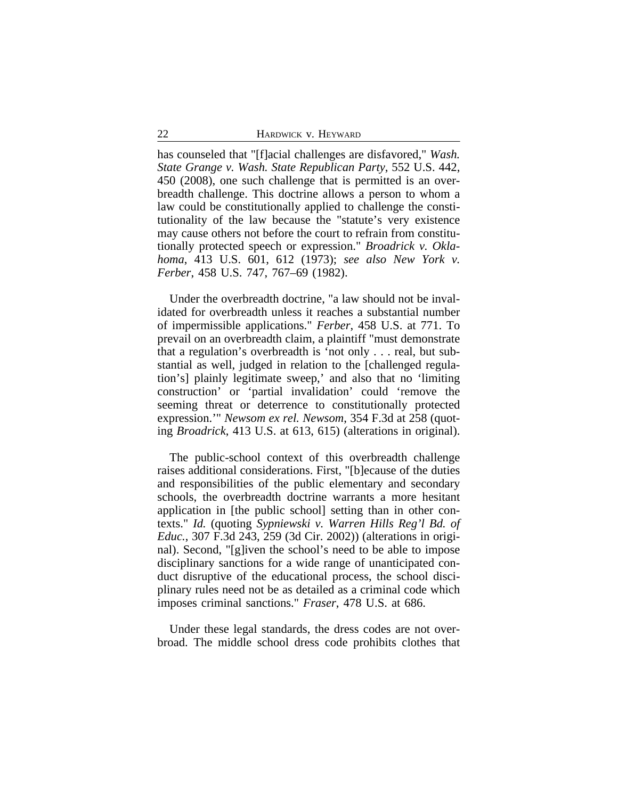has counseled that "[f]acial challenges are disfavored," *Wash. State Grange v. Wash. State Republican Party*, 552 U.S. 442, 450 (2008), one such challenge that is permitted is an overbreadth challenge. This doctrine allows a person to whom a law could be constitutionally applied to challenge the constitutionality of the law because the "statute's very existence may cause others not before the court to refrain from constitutionally protected speech or expression." *Broadrick v. Oklahoma*, 413 U.S. 601, 612 (1973); *see also New York v. Ferber*, 458 U.S. 747, 767–69 (1982).

Under the overbreadth doctrine, "a law should not be invalidated for overbreadth unless it reaches a substantial number of impermissible applications." *Ferber*, 458 U.S. at 771. To prevail on an overbreadth claim, a plaintiff "must demonstrate that a regulation's overbreadth is 'not only . . . real, but substantial as well, judged in relation to the [challenged regulation's] plainly legitimate sweep,' and also that no 'limiting construction' or 'partial invalidation' could 'remove the seeming threat or deterrence to constitutionally protected expression.'" *Newsom ex rel. Newsom*, 354 F.3d at 258 (quoting *Broadrick*, 413 U.S. at 613, 615) (alterations in original).

The public-school context of this overbreadth challenge raises additional considerations. First, "[b]ecause of the duties and responsibilities of the public elementary and secondary schools, the overbreadth doctrine warrants a more hesitant application in [the public school] setting than in other contexts." *Id.* (quoting *Sypniewski v. Warren Hills Reg'l Bd. of Educ.*, 307 F.3d 243, 259 (3d Cir. 2002)) (alterations in original). Second, "[g]iven the school's need to be able to impose disciplinary sanctions for a wide range of unanticipated conduct disruptive of the educational process, the school disciplinary rules need not be as detailed as a criminal code which imposes criminal sanctions." *Fraser*, 478 U.S. at 686.

Under these legal standards, the dress codes are not overbroad. The middle school dress code prohibits clothes that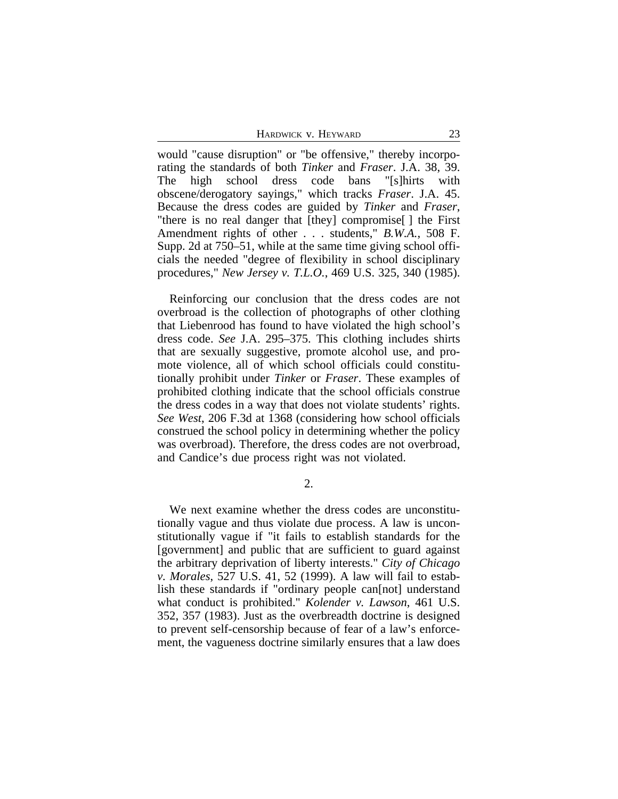HARDWICK V. HEYWARD 23

would "cause disruption" or "be offensive," thereby incorporating the standards of both *Tinker* and *Fraser*. J.A. 38, 39. The high school dress code bans "[s]hirts with obscene/derogatory sayings," which tracks *Fraser*. J.A. 45. Because the dress codes are guided by *Tinker* and *Fraser*, "there is no real danger that [they] compromise[ ] the First Amendment rights of other . . . students," *B.W.A.*, 508 F. Supp. 2d at 750–51, while at the same time giving school officials the needed "degree of flexibility in school disciplinary procedures," *New Jersey v. T.L.O.*, 469 U.S. 325, 340 (1985).

Reinforcing our conclusion that the dress codes are not overbroad is the collection of photographs of other clothing that Liebenrood has found to have violated the high school's dress code. *See* J.A. 295–375. This clothing includes shirts that are sexually suggestive, promote alcohol use, and promote violence, all of which school officials could constitutionally prohibit under *Tinker* or *Fraser*. These examples of prohibited clothing indicate that the school officials construe the dress codes in a way that does not violate students' rights. *See West*, 206 F.3d at 1368 (considering how school officials construed the school policy in determining whether the policy was overbroad). Therefore, the dress codes are not overbroad, and Candice's due process right was not violated.

2.

We next examine whether the dress codes are unconstitutionally vague and thus violate due process. A law is unconstitutionally vague if "it fails to establish standards for the [government] and public that are sufficient to guard against the arbitrary deprivation of liberty interests." *City of Chicago v. Morales*, 527 U.S. 41, 52 (1999). A law will fail to establish these standards if "ordinary people can[not] understand what conduct is prohibited." *Kolender v. Lawson*, 461 U.S. 352, 357 (1983). Just as the overbreadth doctrine is designed to prevent self-censorship because of fear of a law's enforcement, the vagueness doctrine similarly ensures that a law does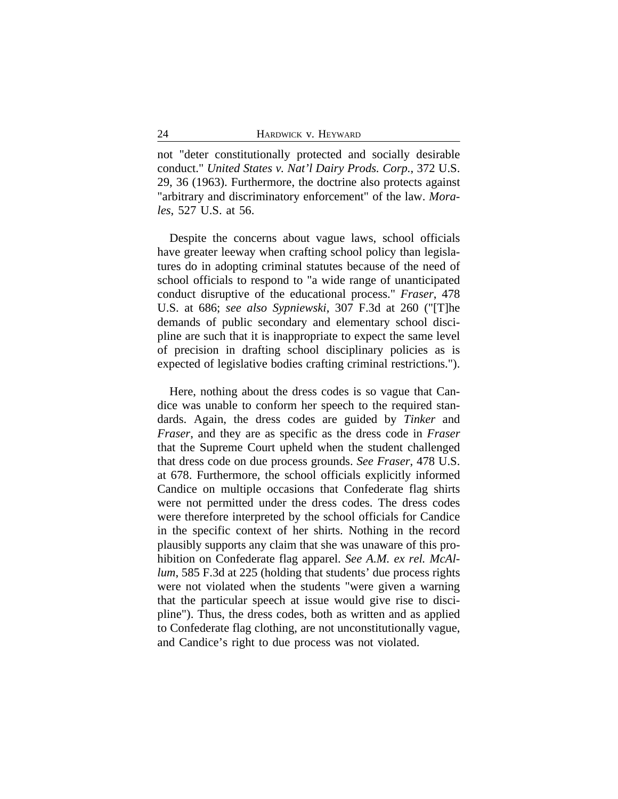not "deter constitutionally protected and socially desirable conduct." *United States v. Nat'l Dairy Prods. Corp.*, 372 U.S. 29, 36 (1963). Furthermore, the doctrine also protects against "arbitrary and discriminatory enforcement" of the law. *Morales*, 527 U.S. at 56.

Despite the concerns about vague laws, school officials have greater leeway when crafting school policy than legislatures do in adopting criminal statutes because of the need of school officials to respond to "a wide range of unanticipated conduct disruptive of the educational process." *Fraser*, 478 U.S. at 686; *see also Sypniewski*, 307 F.3d at 260 ("[T]he demands of public secondary and elementary school discipline are such that it is inappropriate to expect the same level of precision in drafting school disciplinary policies as is expected of legislative bodies crafting criminal restrictions.").

Here, nothing about the dress codes is so vague that Candice was unable to conform her speech to the required standards. Again, the dress codes are guided by *Tinker* and *Fraser*, and they are as specific as the dress code in *Fraser* that the Supreme Court upheld when the student challenged that dress code on due process grounds. *See Fraser*, 478 U.S. at 678. Furthermore, the school officials explicitly informed Candice on multiple occasions that Confederate flag shirts were not permitted under the dress codes. The dress codes were therefore interpreted by the school officials for Candice in the specific context of her shirts. Nothing in the record plausibly supports any claim that she was unaware of this prohibition on Confederate flag apparel. *See A.M. ex rel. McAllum*, 585 F.3d at 225 (holding that students' due process rights were not violated when the students "were given a warning that the particular speech at issue would give rise to discipline"). Thus, the dress codes, both as written and as applied to Confederate flag clothing, are not unconstitutionally vague, and Candice's right to due process was not violated.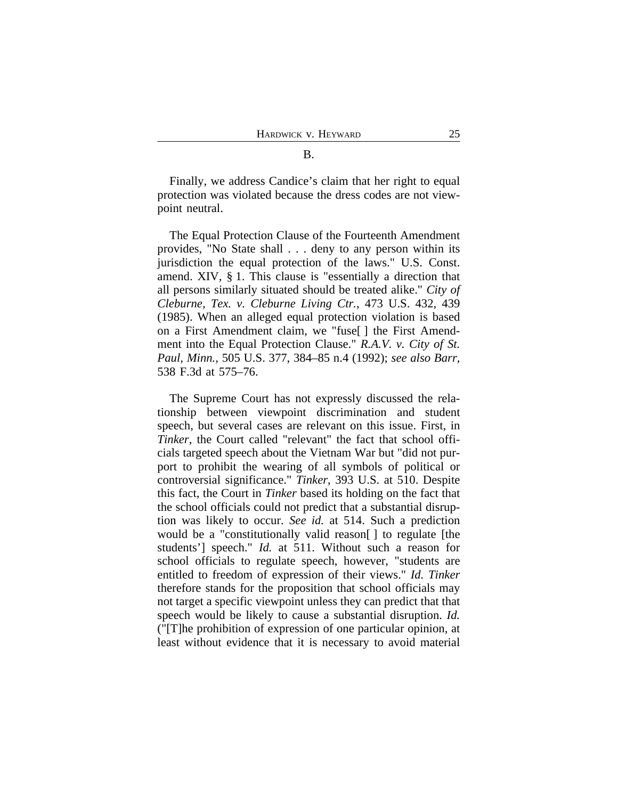Finally, we address Candice's claim that her right to equal protection was violated because the dress codes are not viewpoint neutral.

The Equal Protection Clause of the Fourteenth Amendment provides, "No State shall . . . deny to any person within its jurisdiction the equal protection of the laws." U.S. Const. amend. XIV, § 1. This clause is "essentially a direction that all persons similarly situated should be treated alike." *City of Cleburne, Tex. v. Cleburne Living Ctr.*, 473 U.S. 432, 439 (1985). When an alleged equal protection violation is based on a First Amendment claim, we "fuse[ ] the First Amendment into the Equal Protection Clause." *R.A.V. v. City of St. Paul, Minn.*, 505 U.S. 377, 384–85 n.4 (1992); *see also Barr*, 538 F.3d at 575–76.

The Supreme Court has not expressly discussed the relationship between viewpoint discrimination and student speech, but several cases are relevant on this issue. First, in *Tinker*, the Court called "relevant" the fact that school officials targeted speech about the Vietnam War but "did not purport to prohibit the wearing of all symbols of political or controversial significance." *Tinker*, 393 U.S. at 510. Despite this fact, the Court in *Tinker* based its holding on the fact that the school officials could not predict that a substantial disruption was likely to occur. *See id.* at 514. Such a prediction would be a "constitutionally valid reason[ ] to regulate [the students'] speech." *Id.* at 511. Without such a reason for school officials to regulate speech, however, "students are entitled to freedom of expression of their views." *Id. Tinker* therefore stands for the proposition that school officials may not target a specific viewpoint unless they can predict that that speech would be likely to cause a substantial disruption. *Id.* ("[T]he prohibition of expression of one particular opinion, at least without evidence that it is necessary to avoid material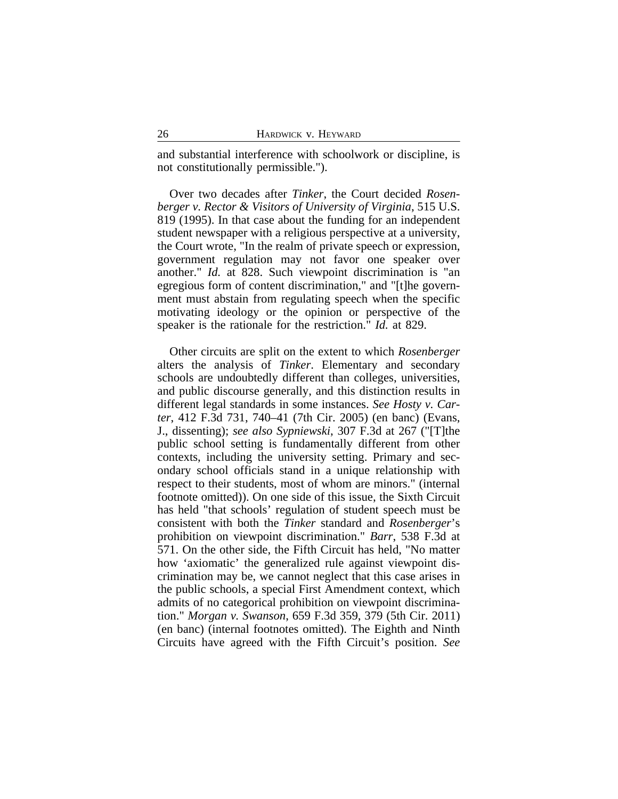and substantial interference with schoolwork or discipline, is not constitutionally permissible.").

Over two decades after *Tinker*, the Court decided *Rosenberger v. Rector & Visitors of University of Virginia*, 515 U.S. 819 (1995). In that case about the funding for an independent student newspaper with a religious perspective at a university, the Court wrote, "In the realm of private speech or expression, government regulation may not favor one speaker over another." *Id.* at 828. Such viewpoint discrimination is "an egregious form of content discrimination," and "[t]he government must abstain from regulating speech when the specific motivating ideology or the opinion or perspective of the speaker is the rationale for the restriction." *Id.* at 829.

Other circuits are split on the extent to which *Rosenberger* alters the analysis of *Tinker*. Elementary and secondary schools are undoubtedly different than colleges, universities, and public discourse generally, and this distinction results in different legal standards in some instances. *See Hosty v. Carter*, 412 F.3d 731, 740–41 (7th Cir. 2005) (en banc) (Evans, J., dissenting); *see also Sypniewski*, 307 F.3d at 267 ("[T]the public school setting is fundamentally different from other contexts, including the university setting. Primary and secondary school officials stand in a unique relationship with respect to their students, most of whom are minors." (internal footnote omitted)). On one side of this issue, the Sixth Circuit has held "that schools' regulation of student speech must be consistent with both the *Tinker* standard and *Rosenberger*'s prohibition on viewpoint discrimination." *Barr*, 538 F.3d at 571. On the other side, the Fifth Circuit has held, "No matter how 'axiomatic' the generalized rule against viewpoint discrimination may be, we cannot neglect that this case arises in the public schools, a special First Amendment context, which admits of no categorical prohibition on viewpoint discrimination." *Morgan v. Swanson*, 659 F.3d 359, 379 (5th Cir. 2011) (en banc) (internal footnotes omitted). The Eighth and Ninth Circuits have agreed with the Fifth Circuit's position. *See*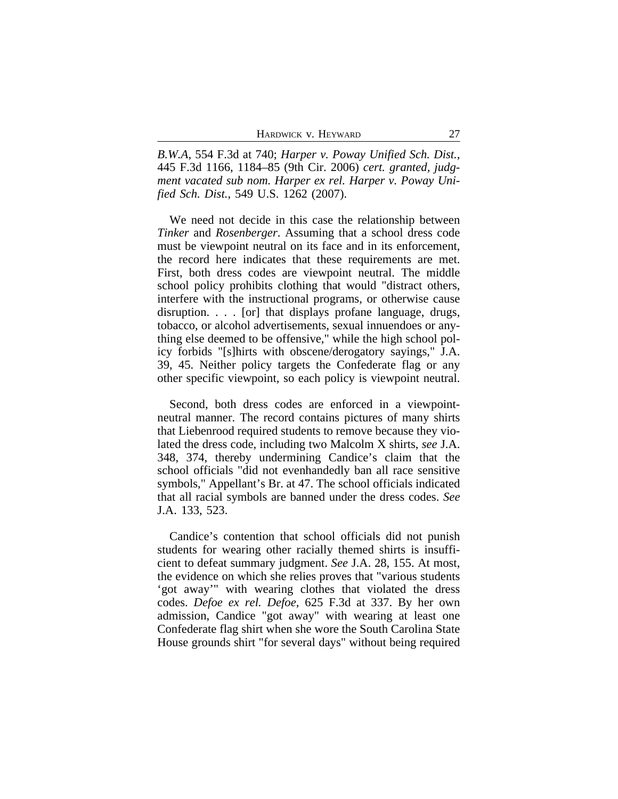*B.W.A*, 554 F.3d at 740; *Harper v. Poway Unified Sch. Dist.*, 445 F.3d 1166, 1184–85 (9th Cir. 2006) *cert. granted, judgment vacated sub nom. Harper ex rel. Harper v. Poway Unified Sch. Dist.*, 549 U.S. 1262 (2007).

We need not decide in this case the relationship between *Tinker* and *Rosenberger*. Assuming that a school dress code must be viewpoint neutral on its face and in its enforcement, the record here indicates that these requirements are met. First, both dress codes are viewpoint neutral. The middle school policy prohibits clothing that would "distract others, interfere with the instructional programs, or otherwise cause disruption. . . . [or] that displays profane language, drugs, tobacco, or alcohol advertisements, sexual innuendoes or anything else deemed to be offensive," while the high school policy forbids "[s]hirts with obscene/derogatory sayings," J.A. 39, 45. Neither policy targets the Confederate flag or any other specific viewpoint, so each policy is viewpoint neutral.

Second, both dress codes are enforced in a viewpointneutral manner. The record contains pictures of many shirts that Liebenrood required students to remove because they violated the dress code, including two Malcolm X shirts, *see* J.A. 348, 374, thereby undermining Candice's claim that the school officials "did not evenhandedly ban all race sensitive symbols," Appellant's Br. at 47. The school officials indicated that all racial symbols are banned under the dress codes. *See* J.A. 133, 523.

Candice's contention that school officials did not punish students for wearing other racially themed shirts is insufficient to defeat summary judgment. *See* J.A. 28, 155. At most, the evidence on which she relies proves that "various students 'got away'" with wearing clothes that violated the dress codes. *Defoe ex rel. Defoe*, 625 F.3d at 337. By her own admission, Candice "got away" with wearing at least one Confederate flag shirt when she wore the South Carolina State House grounds shirt "for several days" without being required